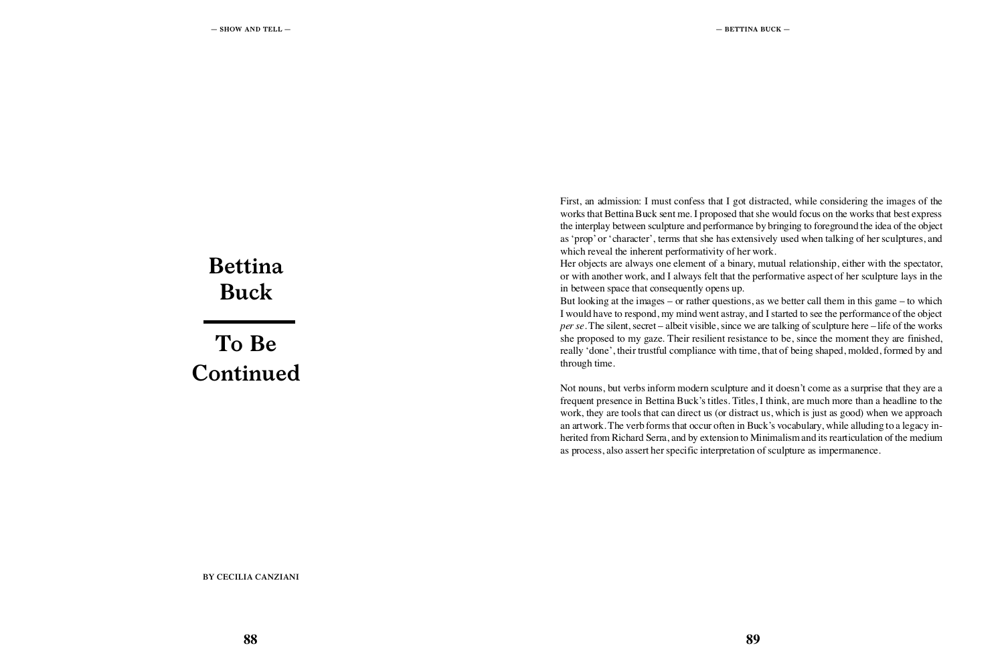# **Bettina Buck**

**To Be Continued**

**BY CECILIA CANZIANI**

First, an admission: I must confess that I got distracted, while considering the images of the works that Bettina Buck sent me. I proposed that she would focus on the works that best express the interplay between sculpture and performance by bringing to foreground the idea of the object as 'prop' or 'character', terms that she has extensively used when talking of her sculptures, and which reveal the inherent performativity of her work.<br>Her objects are always one element of a binary, mutual relationship, either with the spectator, or with another work, and I always felt that the performative aspect of her sculpture lays in the in between space that consequently opens up. But looking at the images – or rather questions, as we better call them in this game – to which I would have to respond, my mind went astray, and I started to see the performance of the object *per se*. The silent, secret – albeit visible, since we are talking of sculpture here – life of the works she proposed to my gaze. Their resilient resistance to be, since the moment they are finished, really 'done', their trustful compliance with time, that of being shaped, molded, formed by and through time.

Not nouns, but verbs inform modern sculpture and it doesn't come as a surprise that they are a frequent presence in Bettina Buck's titles. Titles, I think, are much more than a headline to the work, they are tools that can direct us (or distract us, which is just as good) when we approach an artwork. The verb forms that occur often in Buck's vocabulary, while alluding to a legacy in herited from Richard Serra, and by extension to Minimalism and its rearticulation of the medium as process, also assert her specific interpretation of sculpture as impermanence.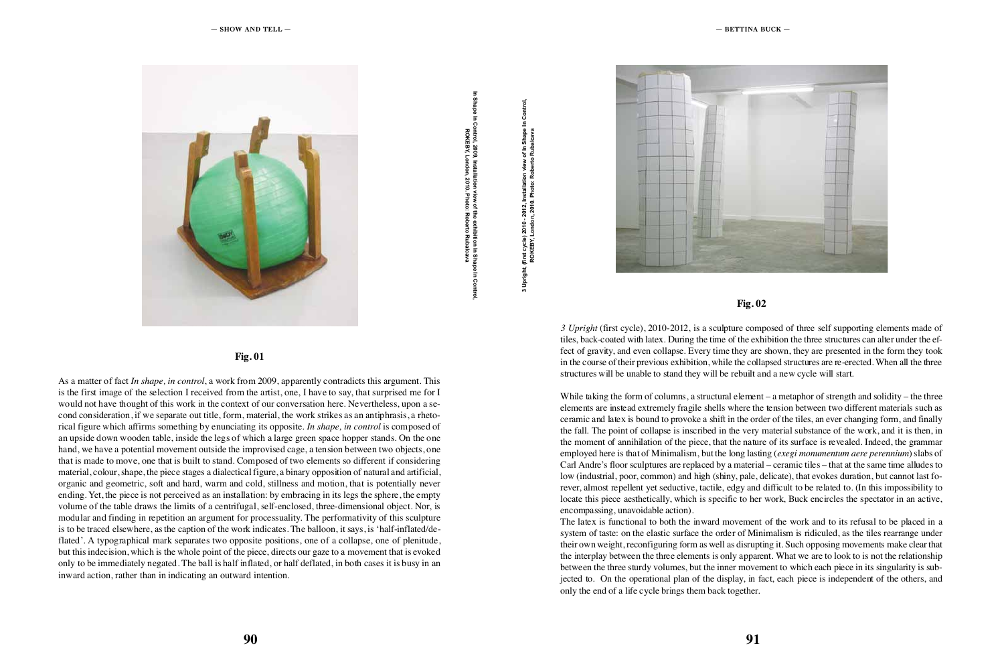

As a matter of fact *In shape, in control*, a work from 2009, apparently contradicts this argument. This is the first image of the selection I received from the artist, one, I have to say, that surprised me for I would not have thought of this work in the context of our conversation here. Nevertheless, upon a se cond consideration, if we separate out title, form, material, the work strikes as an antiphrasis, a rheto rical figure which affirms something by enunciating its opposite. *In shape, in control* is composed of an upside down wooden table, inside the legs of which a large green space hopper stands. On the one hand, we have a potential movement outside the improvised cage, a tension between two objects, one that is made to move, one that is built to stand. Composed of two elements so different if considering material, colour, shape, the piece stages a dialectical figure, a binary opposition of natural and artificial, organic and geometric, soft and hard, warm and cold, stillness and motion, that is potentially never ending. Yet, the piece is not perceived as an installation: by embracing in its legs the sphere, the empty volume of the table draws the limits of a centrifugal, self-enclosed, three-dimensional object. Nor, is modular and finding in repetition an argument for processuality. The performativity of this sculpture is to be traced elsewhere, as the caption of the work indicates. The balloon, it says, is 'half-inflated/de flated'. A typographical mark separates two opposite positions, one of a collapse, one of plenitude, but this indecision, which is the whole point of the piece, directs our gaze to a movement that is evoked only to be immediately negated. The ball is half inflated, or half deflated, in both cases it is busy in an inward action, rather than in indicating an outward intention. **EXECUTE AND CONTRACT CONTRACT CONTRACT CONTRACT CONTRACT CONTRACT CONTRACT CONTRACT CONTRACT CONTRACT CONTRACT CONTRACT CONTRACT CONTRACT CONTRACT CONTRACT CONTRACT CONTRACT CONTRACT CONTRACT CONTRACT CONTRACT CONTRACT C** 

n Control, ZOU3, InStanditon view of the exhibition in Shap<br>T REB1, LONGON, ZUTU. PNOIO: RODENO KUDE

the Cycle) zuin - Zuiz, Installation view of in Shape in v , 1934, Tondon, 2010. Prioto: Roberto Rubalc



## **Fig. 01**

## **Fig. 02**

*3 Upright* (first cycle), 2010-2012, is a sculpture composed of three self supporting elements made of tiles, back-coated with latex. During the time of the exhibition the three structures can alter under the ef fect of gravity, and even collapse. Every time they are shown, they are presented in the form they took in the course of their previous exhibition, while the collapsed structures are re-erected. When all the three structures will be unable to stand they will be rebuilt and a new cycle will start. While taking the form of columns, a structural element – a metaphor of strength and solidity – the three

elements are instead extremely fragile shells where the tension between two different materials such as ceramic and latex is bound to provoke a shift in the order of the tiles, an ever changing form, and finally the fall. The point of collapse is inscribed in the very material substance of the work, and it is then, in the moment of annihilation of the piece, that the nature of its surface is revealed. Indeed, the grammar employed here is that of Minimalism, but the long lasting (*exegi monumentum aere perennium*) slabs of Carl Andre's floor sculptures are replaced by a material – ceramic tiles – that at the same time alludes to low (industrial, poor, common) and high (shiny, pale, delicate), that evokes duration, but cannot last fo rever, almost repellent yet seductive, tactile, edgy and difficult to be related to. (In this impossibility to locate this piece aesthetically, which is specific to her work, Buck encircles the spectator in an active, encompassing, unavoidable action).

The latex is functional to both the inward movement of the work and to its refusal to be placed in a system of taste: on the elastic surface the order of Minimalism is ridiculed, as the tiles rearrange under their own weight, reconfiguring form as well as disrupting it. Such opposing movements make clear that the interplay between the three elements is only apparent. What we are to look to is not the relationship between the three sturdy volumes, but the inner movement to which each piece in its singularity is sub jected to. On the operational plan of the display, in fact, each piece is independent of the others, and only the end of a life cycle brings them back together.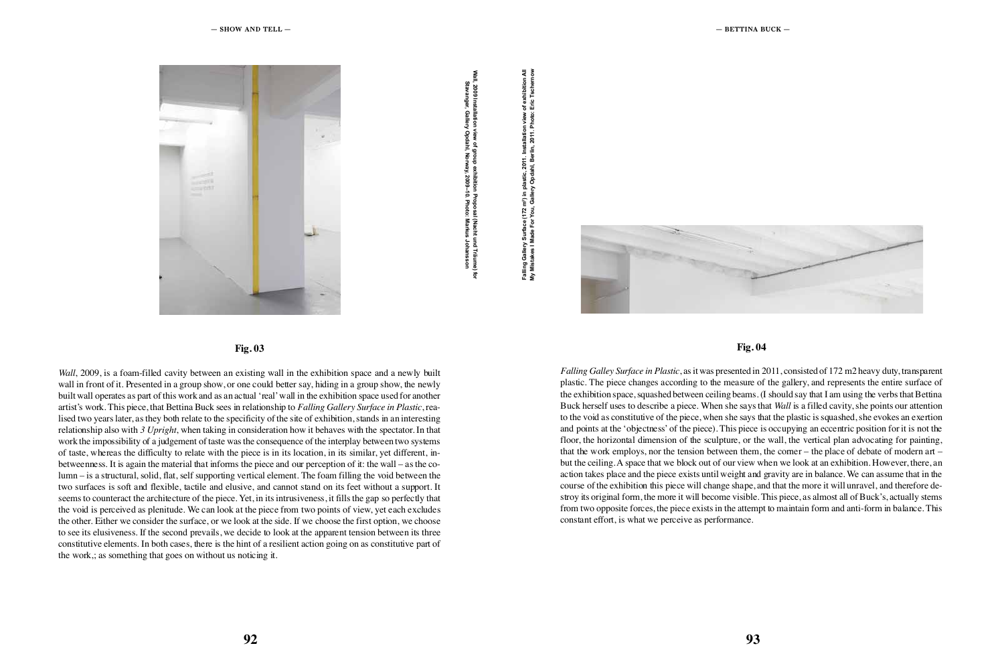

**Fig. 03**

*Wall*, 2009, is a foam-filled cavity between an existing wall in the exhibition space and a newly built wall in front of it. Presented in a group show, or one could better say, hiding in a group show, the newly built wall operates as part of this work and as an actual 'real' wall in the exhibition space used for another artist's work. This piece, that Bettina Buck sees in relationship to *Falling Gallery Surface in Plastic*, rea lised two years later, as they both relate to the specificity of the site of exhibition, stands in an interesting relationship also with *3 Upright*, when taking in consideration how it behaves with the spectator. In that work the impossibility of a judgement of taste was the consequence of the interplay between two systems of taste, whereas the difficulty to relate with the piece is in its location, in its similar, yet different, in betweenness. It is again the material that informs the piece and our perception of it: the wall – as the co lumn – is a structural, solid, flat, self supporting vertical element. The foam filling the void between the two surfaces is soft and flexible, tactile and elusive, and cannot stand on its feet without a support. It seems to counteract the architecture of the piece. Yet, in its intrusiveness, it fills the gap so perfectly that the void is perceived as plenitude. We can look at the piece from two points of view, yet each excludes the other. Either we consider the surface, or we look at the side. If we choose the first option, we choose to see its elusiveness. If the second prevails, we decide to look at the apparent tension between its three constitutive elements. In both cases, there is the hint of a resilient action going on as constitutive part of the work,; as something that goes on without us noticing it. **EXECUTE:**<br> **EXECUTE:**<br> **EXECUTE:**<br> **EXECUTE:**<br> **EXECUTE:**<br> **EXECUTE:**<br> **EXECUTE:**<br> **EXECUTE:**<br> **EXECUTE:**<br> **EXECUTE:**<br> **EXECUTE:**<br> **EXECUTE:**<br> **EXECUTE:**<br> **EXECUTE:**<br> **EXECUTE:**<br> **EXECUTE:**<br> **EXECUTE:**<br> **EXECUTE:**<br> **EXEC** 

t om Machine Arthurium view, Machine 11<br>March 5 – April 2014 y Opuani, Norway, Zuus-Iu. Photo: Marku



## **Fig. 04**

*Falling Galley Surface in Plastic*, as it was presented in 2011, consisted of 172 m2 heavy duty, transparent plastic. The piece changes according to the measure of the gallery, and represents the entire surface of the exhibition space, squashed between ceiling beams. (I should say that I am using the verbs that Bettina Buck herself uses to describe a piece. When she says that *Wall* is a filled cavity, she points our attention to the void as constitutive of the piece, when she says that the plastic is squashed, she evokes an exertion and points at the 'objectness' of the piece). This piece is occupying an eccentric position for it is not the floor, the horizontal dimension of the sculpture, or the wall, the vertical plan advocating for painting, that the work employs, nor the tension between them, the corner – the place of debate of modern art – but the ceiling. A space that we block out of our view when we look at an exhibition. However, there, an action takes place and the piece exists until weight and gravity are in balance. We can assume that in the course of the exhibition this piece will change shape, and that the more it will unravel, and therefore de stroy its original form, the more it will become visible. This piece, as almost all of Buck's, actually stems from two opposite forces, the piece exists in the attempt to maintain form and anti-form in balance. This constant effort, is what we perceive as performance.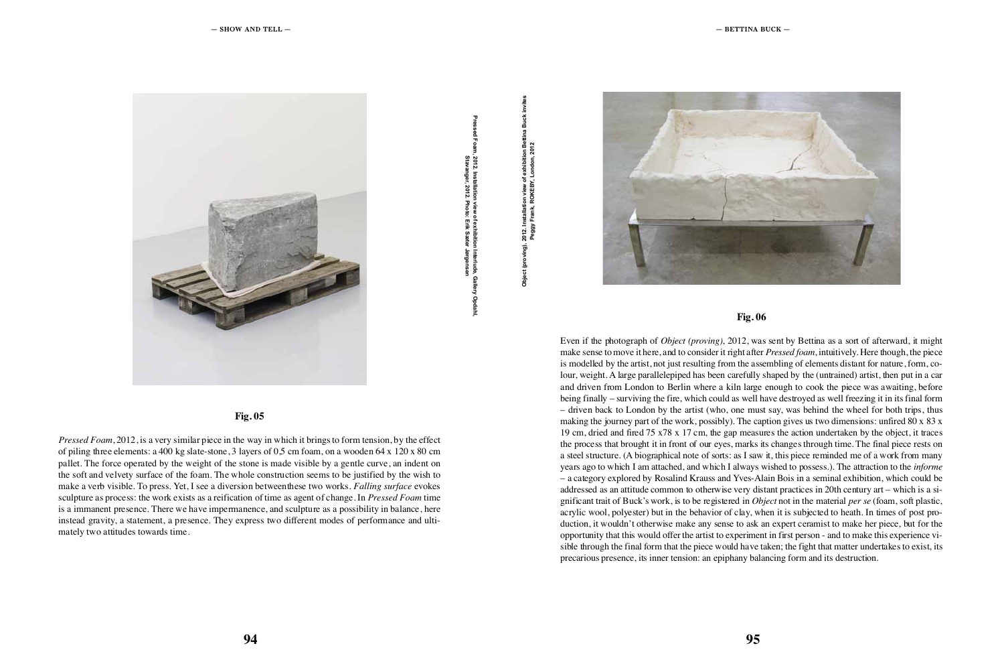

. Installation view of exhibition interlude, Galiery Opdani. , 1934, The Museum of Museum Art, New Art, New Art, New Art, New Art, New Art, New Art, New Art, New Art, New Art, New Art, New Art, New Art, New Art, New Art, New Art, New Art, New Art, New Art, New Art, New Art, New Art,

oving), Zui Z. Installation view of exhibition Bettina Buck<br>. , 1934, Frank, RONEB 1, London, 2012



#### **Fig. 05**

Even if the photograph of *Object (proving)*, 2012, was sent by Bettina as a sort of afterward, it might make sense to move it here, and to consider it right after *Pressed foam*, intuitively. Here though, the piece is modelled by the artist, not just resulting from the assembling of elements distant for nature, form, co lour, weight. A large parallelepiped has been carefully shaped by the (untrained) artist, then put in a car and driven from London to Berlin where a kiln large enough to cook the piece was awaiting, before being finally – surviving the fire, which could as well have destroyed as well freezing it in its final form – driven back to London by the artist (who, one must say, was behind the wheel for both trips, thus making the journey part of the work, possibly). The caption gives us two dimensions: unfired  $80 \times 83 \times$ 19 cm, dried and fired 75 x78 x 17 cm, the gap measures the action undertaken by the object, it traces the process that brought it in front of our eyes, marks its changes through time. The final piece rests on a steel structure. (A biographical note of sorts: as I saw it, this piece reminded me of a work from many years ago to which I am attached, and which I always wished to possess.). The attraction to the *informe* – a category explored by Rosalind Krauss and Yves-Alain Bois in a seminal exhibition, which could be addressed as an attitude common to otherwise very distant practices in 20th century art – which is a si gnificant trait of Buck's work, is to be registered in *Object* not in the material *per se* (foam, soft plastic, acrylic wool, polyester) but in the behavior of clay, when it is subjected to heath. In times of post pro duction, it wouldn't otherwise make any sense to ask an expert ceramist to make her piece, but for the opportunity that this would offer the artist to experiment in first person - and to make this experience vi sible through the final form that the piece would have taken; the fight that matter undertakes to exist, its precarious presence, its inner tension: an epiphany balancing form and its destruction. **EXECUTIVE CONTINUES AND CONTINUES INTO A CONTINUES AND CONTINUES AND CONTINUES AND CONTINUES AND CONTINUES ARE CONTINUES AND CONTINUES ARE CONTINUES AND CONTINUES ARE CONTINUES AND CONTINUES ARE CONTINUES AND CONTINUES A** 

*Pressed Foam*, 2012, is a very similar piece in the way in which it brings to form tension, by the effect of piling three elements: a 400 kg slate-stone, 3 layers of 0,5 cm foam, on a wooden 64 x 120 x 80 cm pallet. The force operated by the weight of the stone is made visible by a gentle curve, an indent on the soft and velvety surface of the foam. The whole construction seems to be justified by the wish to make a verb visible. To press. Yet, I see a diversion betweenthese two works. *Falling surface* evokes sculpture as process: the work exists as a reification of time as agent of change. In *Pressed Foam* time is a immanent presence. There we have impermanence, and sculpture as a possibility in balance, here instead gravity, a statement, a presence. They express two different modes of performance and ulti mately two attitudes towards time.

## **Fig. 06**